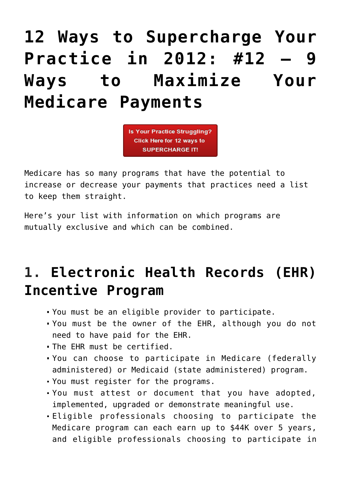# **[12 Ways to Supercharge Your](https://managemypractice.com/12-ways-to-supercharge-your-practice-in-2012-12-ways-to-maximize-your-medicare-payments/) [Practice in 2012: #12 – 9](https://managemypractice.com/12-ways-to-supercharge-your-practice-in-2012-12-ways-to-maximize-your-medicare-payments/) [Ways to Maximize Your](https://managemypractice.com/12-ways-to-supercharge-your-practice-in-2012-12-ways-to-maximize-your-medicare-payments/) [Medicare Payments](https://managemypractice.com/12-ways-to-supercharge-your-practice-in-2012-12-ways-to-maximize-your-medicare-payments/)**



Medicare has so many programs that have the potential to increase or decrease your payments that practices need a list to keep them straight.

Here's your list with information on which programs are mutually exclusive and which can be combined.

## **1. [Electronic Health Records \(EHR\)](http://www.cms.gov/EHRIncentivePrograms) [Incentive Program](http://www.cms.gov/EHRIncentivePrograms)**

- You must be an eligible provider to participate.
- You must be the owner of the EHR, although you do not need to have paid for the EHR.
- The EHR must be certified.
- You can choose to participate in Medicare (federally administered) or Medicaid (state administered) program.
- You must register for the programs.
- You must attest or document that you have adopted, implemented, upgraded or demonstrate meaningful use.
- Eligible professionals choosing to participate the Medicare program can each earn up to \$44K over 5 years, and eligible professionals choosing to participate in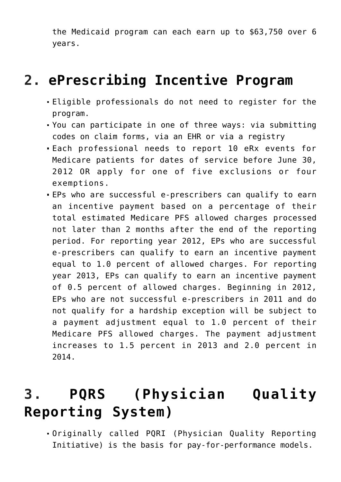the Medicaid program can each earn up to \$63,750 over 6 years.

#### **2. [ePrescribing Incentive Program](http://www.cms.gov/Medicare/Quality-Initiatives-Patient-Assessment-Instruments/ERxIncentive/index.html)**

- Eligible professionals do not need to register for the program.
- You can participate in one of three ways: via submitting codes on claim forms, via an EHR or via a registry
- Each professional needs to report 10 eRx events for Medicare patients for dates of service before June 30, 2012 OR apply for one of five exclusions or four exemptions.
- EPs who are successful e-prescribers can qualify to earn an incentive payment based on a percentage of their total estimated Medicare PFS allowed charges processed not later than 2 months after the end of the reporting period. For reporting year 2012, EPs who are successful e-prescribers can qualify to earn an incentive payment equal to 1.0 percent of allowed charges. For reporting year 2013, EPs can qualify to earn an incentive payment of 0.5 percent of allowed charges. Beginning in 2012, EPs who are not successful e-prescribers in 2011 and do not qualify for a hardship exception will be subject to a payment adjustment equal to 1.0 percent of their Medicare PFS allowed charges. The payment adjustment increases to 1.5 percent in 2013 and 2.0 percent in 2014.

## **3. [PQRS \(Physician Quality](http://www.cms.gov/Medicare/Quality-Initiatives-Patient-Assessment-Instruments/PQRS/index.html?redirect=/pqrs) [Reporting System\)](http://www.cms.gov/Medicare/Quality-Initiatives-Patient-Assessment-Instruments/PQRS/index.html?redirect=/pqrs)**

Originally called PQRI (Physician Quality Reporting Initiative) is the basis for pay-for-performance models.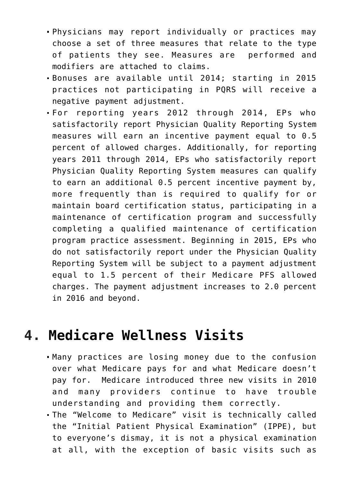- Physicians may report individually or practices may choose a set of three measures that relate to the type of patients they see. Measures are performed and modifiers are attached to claims.
- Bonuses are available until 2014; starting in 2015 practices not participating in PQRS will receive a negative payment adjustment.
- For reporting years 2012 through 2014, EPs who satisfactorily report Physician Quality Reporting System measures will earn an incentive payment equal to 0.5 percent of allowed charges. Additionally, for reporting years 2011 through 2014, EPs who satisfactorily report Physician Quality Reporting System measures can qualify to earn an additional 0.5 percent incentive payment by, more frequently than is required to qualify for or maintain board certification status, participating in a maintenance of certification program and successfully completing a qualified maintenance of certification program practice assessment. Beginning in 2015, EPs who do not satisfactorily report under the Physician Quality Reporting System will be subject to a payment adjustment equal to 1.5 percent of their Medicare PFS allowed charges. The payment adjustment increases to 2.0 percent in 2016 and beyond.

#### **4. [Medicare Wellness Visits](https://managemypractice.com/wp-content/uploads/2012/06/AWV_Chart.pdf)**

- Many practices are losing money due to the confusion over what Medicare pays for and what Medicare doesn't pay for. Medicare introduced three new visits in 2010 and many providers continue to have trouble understanding and providing them correctly.
- The "Welcome to Medicare" visit is technically called the "Initial Patient Physical Examination" (IPPE), but to everyone's dismay, it is not a physical examination at all, with the exception of basic visits such as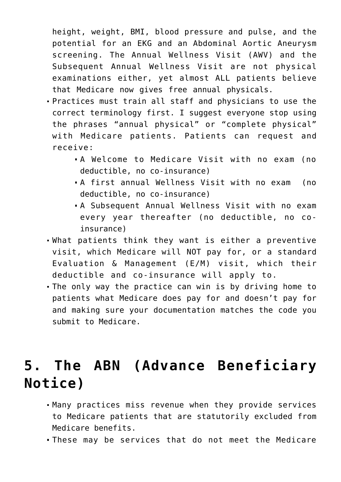height, weight, BMI, blood pressure and pulse, and the potential for an EKG and an Abdominal Aortic Aneurysm screening. The Annual Wellness Visit (AWV) and the Subsequent Annual Wellness Visit are not physical examinations either, yet almost ALL patients believe that Medicare now gives free annual physicals.

- Practices must train all staff and physicians to use the correct terminology first. I suggest everyone stop using the phrases "annual physical" or "complete physical" with Medicare patients. Patients can request and receive:
	- A Welcome to Medicare Visit with no exam (no deductible, no co-insurance)
	- A first annual Wellness Visit with no exam (no deductible, no co-insurance)
	- A Subsequent Annual Wellness Visit with no exam every year thereafter (no deductible, no coinsurance)
- What patients think they want is either a preventive visit, which Medicare will NOT pay for, or a standard Evaluation & Management (E/M) visit, which their deductible and co-insurance will apply to.
- The only way the practice can win is by driving home to patients what Medicare does pay for and doesn't pay for and making sure your documentation matches the code you submit to Medicare.

#### **[5. The ABN \(Advance Beneficiary](http://www.cms.gov/Medicare/Medicare-General-Information/BNI/ABN.html) [Notice\)](http://www.cms.gov/Medicare/Medicare-General-Information/BNI/ABN.html)**

- Many practices miss revenue when they provide services to Medicare patients that are statutorily excluded from Medicare benefits.
- These may be services that do not meet the Medicare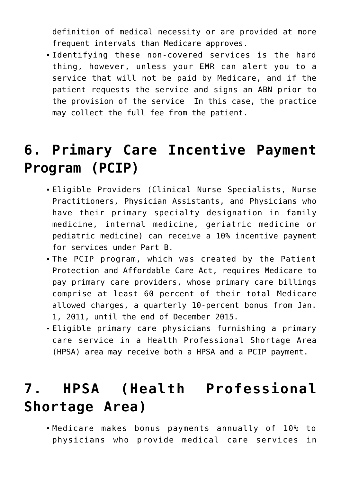definition of medical necessity or are provided at more frequent intervals than Medicare approves.

Identifying these non-covered services is the hard thing, however, unless your EMR can alert you to a service that will not be paid by Medicare, and if the patient requests the service and signs an ABN prior to the provision of the service In this case, the practice may collect the full fee from the patient.

#### **[6. Primary Care Incentive Payment](https://managemypractice.com/wp-content/uploads/2012/06/PCIP_Overview.pdf) [Program \(PCIP\)](https://managemypractice.com/wp-content/uploads/2012/06/PCIP_Overview.pdf)**

- Eligible Providers (Clinical Nurse Specialists, Nurse Practitioners, Physician Assistants, and Physicians who have their primary specialty designation in family medicine, internal medicine, geriatric medicine or pediatric medicine) can receive a 10% incentive payment for services under Part B.
- The PCIP program, which was created by the Patient Protection and Affordable Care Act, requires Medicare to pay primary care providers, whose primary care billings comprise at least 60 percent of their total Medicare allowed charges, a quarterly 10-percent bonus from Jan. 1, 2011, until the end of December 2015.
- Eligible primary care physicians furnishing a primary care service in a Health Professional Shortage Area (HPSA) area may receive both a HPSA and a PCIP payment.

## **[7. HPSA \(Health Professional](http://www.cms.gov/Medicare/Medicare-Fee-for-Service-Payment/HPSAPSAPhysicianBonuses/index.html?redirect=/hpsapsaphysicianbonuses) [Shortage Area\)](http://www.cms.gov/Medicare/Medicare-Fee-for-Service-Payment/HPSAPSAPhysicianBonuses/index.html?redirect=/hpsapsaphysicianbonuses)**

Medicare makes bonus payments annually of 10% to physicians who provide medical care services in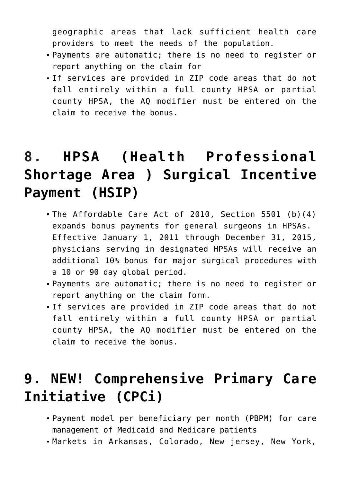geographic areas that lack sufficient health care providers to meet the needs of the population.

- Payments are automatic; there is no need to register or report anything on the claim for
- If services are provided in ZIP code areas that do not fall entirely within a full county HPSA or partial county HPSA, the AQ modifier must be entered on the claim to receive the bonus.

## **8. [HPSA \(Health Professional](http://www.cms.gov/Medicare/Medicare-Fee-for-Service-Payment/HPSAPSAPhysicianBonuses/index.html?redirect=/hpsapsaphysicianbonuses) [Shortage Area \) Surgical Incentive](http://www.cms.gov/Medicare/Medicare-Fee-for-Service-Payment/HPSAPSAPhysicianBonuses/index.html?redirect=/hpsapsaphysicianbonuses) [Payment \(HSIP\)](http://www.cms.gov/Medicare/Medicare-Fee-for-Service-Payment/HPSAPSAPhysicianBonuses/index.html?redirect=/hpsapsaphysicianbonuses)**

- The Affordable Care Act of 2010, Section 5501 (b)(4) expands bonus payments for general surgeons in HPSAs. Effective January 1, 2011 through December 31, 2015, physicians serving in designated HPSAs will receive an additional 10% bonus for major surgical procedures with a 10 or 90 day global period.
- Payments are automatic; there is no need to register or report anything on the claim form.
- If services are provided in ZIP code areas that do not fall entirely within a full county HPSA or partial county HPSA, the AQ modifier must be entered on the claim to receive the bonus.

#### **[9. NEW! Comprehensive Primary Care](http://innovations.cms.gov/initiatives/Comprehensive-Primary-Care-Initiative/index.html) [Initiative \(CPCi\)](http://innovations.cms.gov/initiatives/Comprehensive-Primary-Care-Initiative/index.html)**

- Payment model per beneficiary per month (PBPM) for care management of Medicaid and Medicare patients
- Markets in Arkansas, Colorado, New jersey, New York,